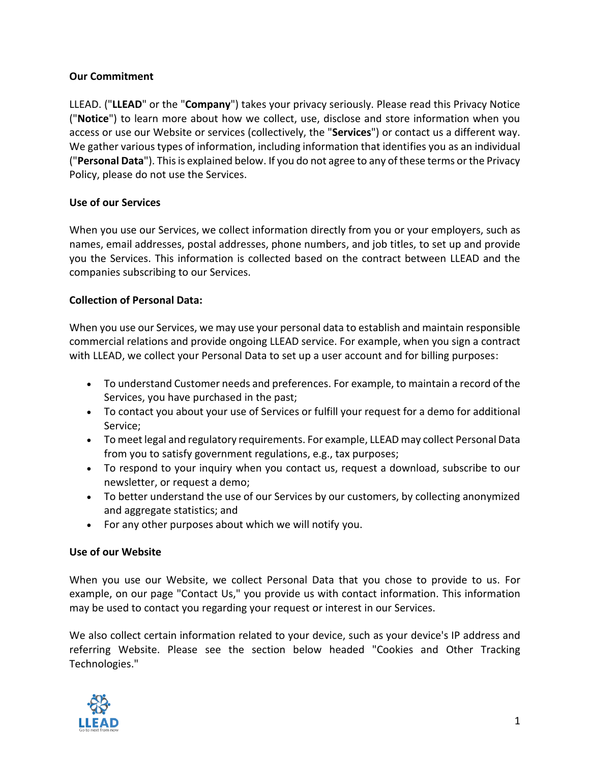### **Our Commitment**

LLEAD. ("**LLEAD**" or the "**Company**") takes your privacy seriously. Please read this Privacy Notice ("**Notice**") to learn more about how we collect, use, disclose and store information when you access or use our Website or services (collectively, the "**Services**") or contact us a different way. We gather various types of information, including information that identifies you as an individual ("**Personal Data**"). This is explained below. If you do not agree to any of these terms or the Privacy Policy, please do not use the Services.

### **Use of our Services**

When you use our Services, we collect information directly from you or your employers, such as names, email addresses, postal addresses, phone numbers, and job titles, to set up and provide you the Services. This information is collected based on the contract between LLEAD and the companies subscribing to our Services.

### **Collection of Personal Data:**

When you use our Services, we may use your personal data to establish and maintain responsible commercial relations and provide ongoing LLEAD service. For example, when you sign a contract with LLEAD, we collect your Personal Data to set up a user account and for billing purposes:

- To understand Customer needs and preferences. For example, to maintain a record of the Services, you have purchased in the past;
- To contact you about your use of Services or fulfill your request for a demo for additional Service;
- To meet legal and regulatory requirements. For example, LLEAD may collect Personal Data from you to satisfy government regulations, e.g., tax purposes;
- To respond to your inquiry when you contact us, request a download, subscribe to our newsletter, or request a demo;
- To better understand the use of our Services by our customers, by collecting anonymized and aggregate statistics; and
- For any other purposes about which we will notify you.

### **Use of our Website**

When you use our Website, we collect Personal Data that you chose to provide to us. For example, on our page "Contact Us," you provide us with contact information. This information may be used to contact you regarding your request or interest in our Services.

We also collect certain information related to your device, such as your device's IP address and referring Website. Please see the section below headed "Cookies and Other Tracking Technologies."

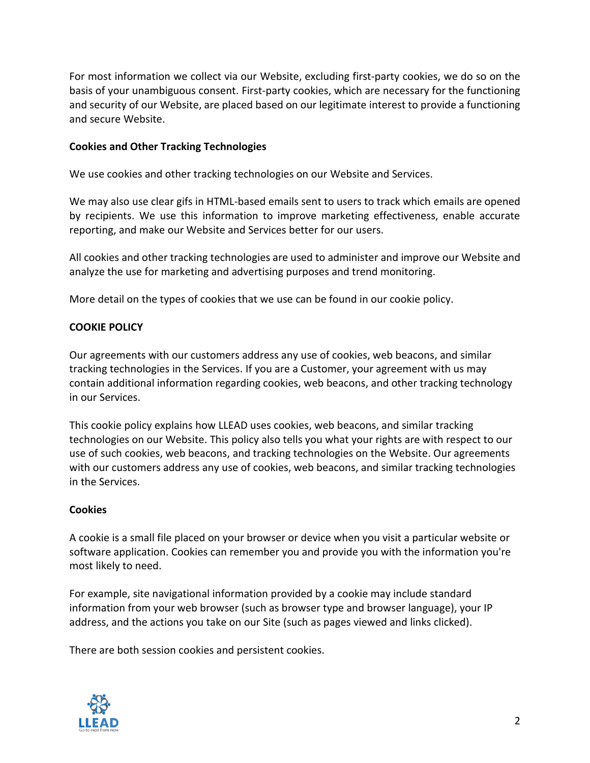For most information we collect via our Website, excluding first-party cookies, we do so on the basis of your unambiguous consent. First-party cookies, which are necessary for the functioning and security of our Website, are placed based on our legitimate interest to provide a functioning and secure Website.

#### **Cookies and Other Tracking Technologies**

We use cookies and other tracking technologies on our Website and Services.

We may also use clear gifs in HTML-based emails sent to users to track which emails are opened by recipients. We use this information to improve marketing effectiveness, enable accurate reporting, and make our Website and Services better for our users.

All cookies and other tracking technologies are used to administer and improve our Website and analyze the use for marketing and advertising purposes and trend monitoring.

More detail on the types of cookies that we use can be found in our cookie policy.

#### **COOKIE POLICY**

Our agreements with our customers address any use of cookies, web beacons, and similar tracking technologies in the Services. If you are a Customer, your agreement with us may contain additional information regarding cookies, web beacons, and other tracking technology in our Services.

This cookie policy explains how LLEAD uses cookies, web beacons, and similar tracking technologies on our Website. This policy also tells you what your rights are with respect to our use of such cookies, web beacons, and tracking technologies on the Website. Our agreements with our customers address any use of cookies, web beacons, and similar tracking technologies in the Services.

#### **Cookies**

A cookie is a small file placed on your browser or device when you visit a particular website or software application. Cookies can remember you and provide you with the information you're most likely to need.

For example, site navigational information provided by a cookie may include standard information from your web browser (such as browser type and browser language), your IP address, and the actions you take on our Site (such as pages viewed and links clicked).

There are both session cookies and persistent cookies.

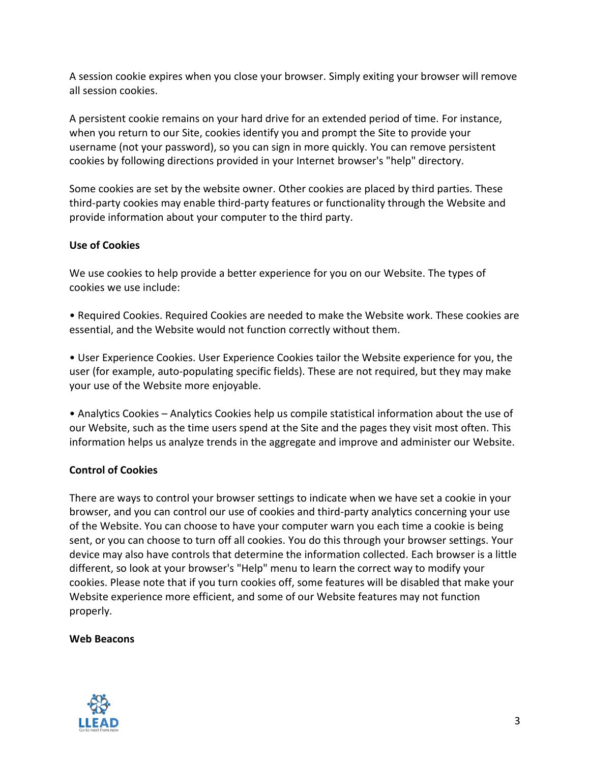A session cookie expires when you close your browser. Simply exiting your browser will remove all session cookies.

A persistent cookie remains on your hard drive for an extended period of time. For instance, when you return to our Site, cookies identify you and prompt the Site to provide your username (not your password), so you can sign in more quickly. You can remove persistent cookies by following directions provided in your Internet browser's "help" directory.

Some cookies are set by the website owner. Other cookies are placed by third parties. These third-party cookies may enable third-party features or functionality through the Website and provide information about your computer to the third party.

### **Use of Cookies**

We use cookies to help provide a better experience for you on our Website. The types of cookies we use include:

• Required Cookies. Required Cookies are needed to make the Website work. These cookies are essential, and the Website would not function correctly without them.

• User Experience Cookies. User Experience Cookies tailor the Website experience for you, the user (for example, auto-populating specific fields). These are not required, but they may make your use of the Website more enjoyable.

• Analytics Cookies – Analytics Cookies help us compile statistical information about the use of our Website, such as the time users spend at the Site and the pages they visit most often. This information helps us analyze trends in the aggregate and improve and administer our Website.

### **Control of Cookies**

There are ways to control your browser settings to indicate when we have set a cookie in your browser, and you can control our use of cookies and third-party analytics concerning your use of the Website. You can choose to have your computer warn you each time a cookie is being sent, or you can choose to turn off all cookies. You do this through your browser settings. Your device may also have controls that determine the information collected. Each browser is a little different, so look at your browser's "Help" menu to learn the correct way to modify your cookies. Please note that if you turn cookies off, some features will be disabled that make your Website experience more efficient, and some of our Website features may not function properly.

### **Web Beacons**

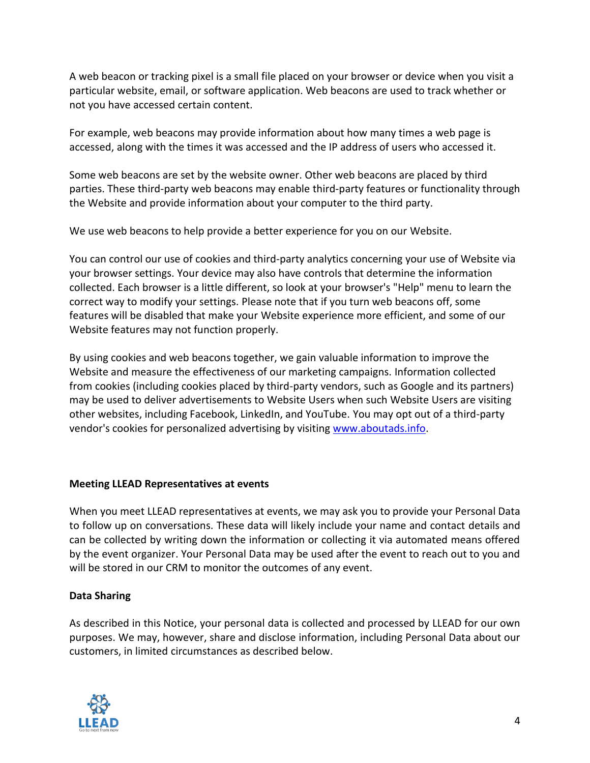A web beacon or tracking pixel is a small file placed on your browser or device when you visit a particular website, email, or software application. Web beacons are used to track whether or not you have accessed certain content.

For example, web beacons may provide information about how many times a web page is accessed, along with the times it was accessed and the IP address of users who accessed it.

Some web beacons are set by the website owner. Other web beacons are placed by third parties. These third-party web beacons may enable third-party features or functionality through the Website and provide information about your computer to the third party.

We use web beacons to help provide a better experience for you on our Website.

You can control our use of cookies and third-party analytics concerning your use of Website via your browser settings. Your device may also have controls that determine the information collected. Each browser is a little different, so look at your browser's "Help" menu to learn the correct way to modify your settings. Please note that if you turn web beacons off, some features will be disabled that make your Website experience more efficient, and some of our Website features may not function properly.

By using cookies and web beacons together, we gain valuable information to improve the Website and measure the effectiveness of our marketing campaigns. Information collected from cookies (including cookies placed by third-party vendors, such as Google and its partners) may be used to deliver advertisements to Website Users when such Website Users are visiting other websites, including Facebook, LinkedIn, and YouTube. You may opt out of a third-party vendor's cookies for personalized advertising by visiting [www.aboutads.info.](http://www.aboutads.info/)

### **Meeting LLEAD Representatives at events**

When you meet LLEAD representatives at events, we may ask you to provide your Personal Data to follow up on conversations. These data will likely include your name and contact details and can be collected by writing down the information or collecting it via automated means offered by the event organizer. Your Personal Data may be used after the event to reach out to you and will be stored in our CRM to monitor the outcomes of any event.

# **Data Sharing**

As described in this Notice, your personal data is collected and processed by LLEAD for our own purposes. We may, however, share and disclose information, including Personal Data about our customers, in limited circumstances as described below.

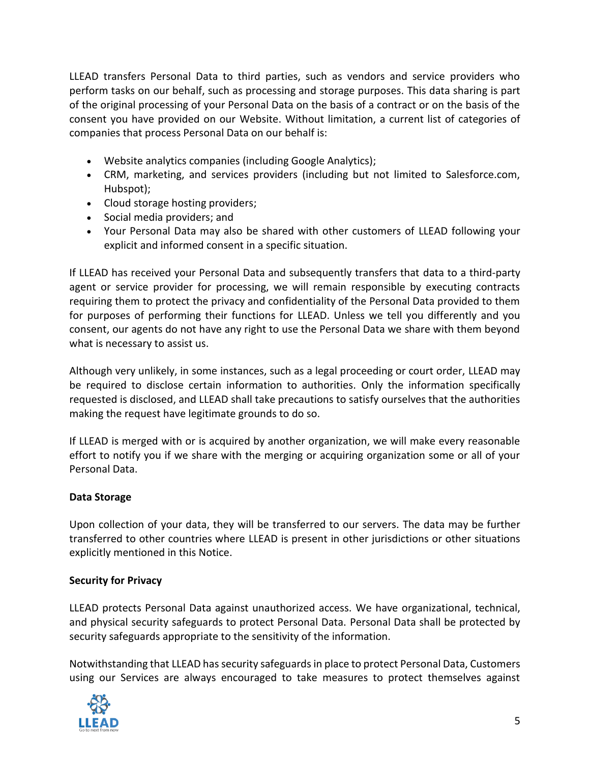LLEAD transfers Personal Data to third parties, such as vendors and service providers who perform tasks on our behalf, such as processing and storage purposes. This data sharing is part of the original processing of your Personal Data on the basis of a contract or on the basis of the consent you have provided on our Website. Without limitation, a current list of categories of companies that process Personal Data on our behalf is:

- Website analytics companies (including Google Analytics);
- CRM, marketing, and services providers (including but not limited to Salesforce.com, Hubspot);
- Cloud storage hosting providers;
- Social media providers; and
- Your Personal Data may also be shared with other customers of LLEAD following your explicit and informed consent in a specific situation.

If LLEAD has received your Personal Data and subsequently transfers that data to a third-party agent or service provider for processing, we will remain responsible by executing contracts requiring them to protect the privacy and confidentiality of the Personal Data provided to them for purposes of performing their functions for LLEAD. Unless we tell you differently and you consent, our agents do not have any right to use the Personal Data we share with them beyond what is necessary to assist us.

Although very unlikely, in some instances, such as a legal proceeding or court order, LLEAD may be required to disclose certain information to authorities. Only the information specifically requested is disclosed, and LLEAD shall take precautions to satisfy ourselves that the authorities making the request have legitimate grounds to do so.

If LLEAD is merged with or is acquired by another organization, we will make every reasonable effort to notify you if we share with the merging or acquiring organization some or all of your Personal Data.

### **Data Storage**

Upon collection of your data, they will be transferred to our servers. The data may be further transferred to other countries where LLEAD is present in other jurisdictions or other situations explicitly mentioned in this Notice.

### **Security for Privacy**

LLEAD protects Personal Data against unauthorized access. We have organizational, technical, and physical security safeguards to protect Personal Data. Personal Data shall be protected by security safeguards appropriate to the sensitivity of the information.

Notwithstanding that LLEAD has security safeguards in place to protect Personal Data, Customers using our Services are always encouraged to take measures to protect themselves against

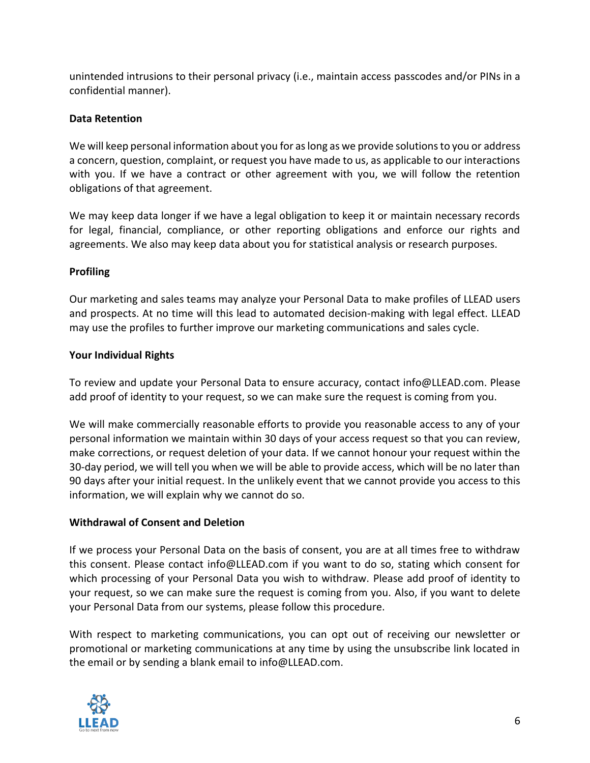unintended intrusions to their personal privacy (i.e., maintain access passcodes and/or PINs in a confidential manner).

## **Data Retention**

We will keep personal information about you for as long as we provide solutions to you or address a concern, question, complaint, or request you have made to us, as applicable to our interactions with you. If we have a contract or other agreement with you, we will follow the retention obligations of that agreement.

We may keep data longer if we have a legal obligation to keep it or maintain necessary records for legal, financial, compliance, or other reporting obligations and enforce our rights and agreements. We also may keep data about you for statistical analysis or research purposes.

### **Profiling**

Our marketing and sales teams may analyze your Personal Data to make profiles of LLEAD users and prospects. At no time will this lead to automated decision-making with legal effect. LLEAD may use the profiles to further improve our marketing communications and sales cycle.

### **Your Individual Rights**

To review and update your Personal Data to ensure accuracy, contact info@LLEAD.com. Please add proof of identity to your request, so we can make sure the request is coming from you.

We will make commercially reasonable efforts to provide you reasonable access to any of your personal information we maintain within 30 days of your access request so that you can review, make corrections, or request deletion of your data. If we cannot honour your request within the 30-day period, we will tell you when we will be able to provide access, which will be no later than 90 days after your initial request. In the unlikely event that we cannot provide you access to this information, we will explain why we cannot do so.

# **Withdrawal of Consent and Deletion**

If we process your Personal Data on the basis of consent, you are at all times free to withdraw this consent. Please contact info@LLEAD.com if you want to do so, stating which consent for which processing of your Personal Data you wish to withdraw. Please add proof of identity to your request, so we can make sure the request is coming from you. Also, if you want to delete your Personal Data from our systems, please follow this procedure.

With respect to marketing communications, you can opt out of receiving our newsletter or promotional or marketing communications at any time by using the unsubscribe link located in the email or by sending a blank email to info@LLEAD.com.